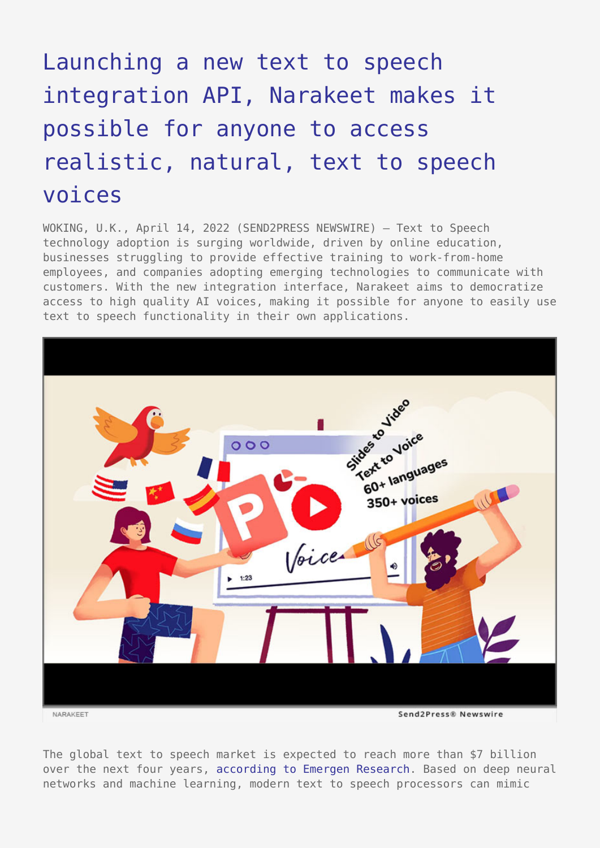## [Launching a new text to speech](https://www.send2press.com/wire/launching-a-new-text-to-speech-integration-api-narakeet-makes-it-possible-for-anyone-to-access-realistic-natural-text-to-speech-voices/) [integration API, Narakeet makes it](https://www.send2press.com/wire/launching-a-new-text-to-speech-integration-api-narakeet-makes-it-possible-for-anyone-to-access-realistic-natural-text-to-speech-voices/) [possible for anyone to access](https://www.send2press.com/wire/launching-a-new-text-to-speech-integration-api-narakeet-makes-it-possible-for-anyone-to-access-realistic-natural-text-to-speech-voices/) [realistic, natural, text to speech](https://www.send2press.com/wire/launching-a-new-text-to-speech-integration-api-narakeet-makes-it-possible-for-anyone-to-access-realistic-natural-text-to-speech-voices/) [voices](https://www.send2press.com/wire/launching-a-new-text-to-speech-integration-api-narakeet-makes-it-possible-for-anyone-to-access-realistic-natural-text-to-speech-voices/)

WOKING, U.K., April 14, 2022 (SEND2PRESS NEWSWIRE) — Text to Speech technology adoption is surging worldwide, driven by online education, businesses struggling to provide effective training to work-from-home employees, and companies adopting emerging technologies to communicate with customers. With the new integration interface, Narakeet aims to democratize access to high quality AI voices, making it possible for anyone to easily use text to speech functionality in their own applications.



The global text to speech market is expected to reach more than \$7 billion over the next four years, [according to Emergen Research.](https://www.emergenresearch.com/industry-report/text-to-speech-market) Based on deep neural networks and machine learning, modern text to speech processors can mimic